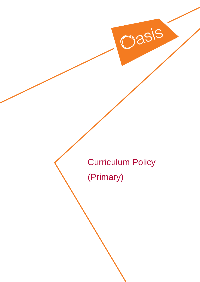Curriculum Policy

Oasis

(Primary)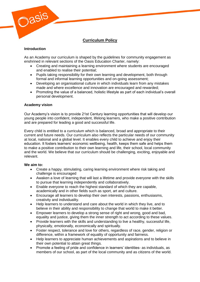

# **Curriculum Policy**

# **Introduction**

As an Academy our curriculum is shaped by the guidelines for community engagement as enshrined in relevant sections of the Oasis Education Charter, namely:

- Creating and maintaining a learning environment where students are encouraged and enabled to realise their potential;
- Pupils taking responsibility for their own learning and development, both through formal and informal learning opportunities and on-going assessment;
- Developing an organisational culture in which individuals learn from any mistakes made and where excellence and innovation are encouraged and rewarded;
- Promoting the value of a balanced, holistic lifestyle as part of each individual's overall personal development.

# **Academy vision**

Our Academy's vision is to provide 21st Century learning opportunities that will develop our young people into confident, independent, lifelong learners, who make a positive contribution and are prepared for leading a good and successful life.

Every child is entitled to a curriculum which is balanced, broad and appropriate to their current and future needs. Our curriculum also reflects the particular needs of our community at local, national and a global level. It enables every child to achieve and enjoy their education. It fosters learners' economic wellbeing, health, keeps them safe and helps them to make a positive contribution to their own learning and life, their school, local community and the world. We believe that our curriculum should be challenging, exciting, enjoyable and relevant.

### **We aim to:**

- Create a happy, stimulating, caring learning environment where risk taking and challenge is encouraged
- Awaken a love of learning that will last a lifetime and provide everyone with the skills to pursue that learning independently and collaboratively.
- Enable everyone to reach the highest standard of which they are capable, academically and in other fields such as sport, art and culture.
- Encourage all learners to develop their own interests, passions, enthusiasms, creativity and individuality.
- Help learners to understand and care about the world in which they live, and to believe in their ability and responsibility to change that world to make it better.
- Empower learners to develop a strong sense of right and wrong, good and bad, equality and justice, giving them the inner strength to act according to these values.
- Provide learners with the skills and understanding to live a healthy, successful life, physically, emotionally, economically and spiritually.
- Foster respect, tolerance and love for others, regardless of race, gender, religion or difference, within a framework of equality of opportunity and fairness.
- Help learners to appreciate human achievements and aspirations and to believe in their own potential to attain great things.
- Promote a feeling of pride and confidence in learners' identities- as individuals, as members of our school, as part of the local community and as citizens of the world.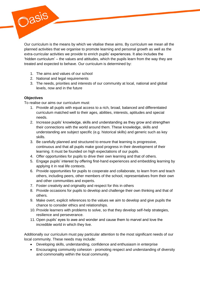Our curriculum is the means by which we vitalise these aims. By curriculum we mean all the planned activities that we organise to promote learning and personal growth as well as the extra-curricular activities we provide to enrich pupils' experiences. It also includes the 'hidden curriculum' – the values and attitudes, which the pupils learn from the way they are treated and expected to behave. Our curriculum is determined by:

- 1. The aims and values of our school
- 2. National and legal requirements
- 3. The needs, priorities and interests of our community at local, national and global levels, now and in the future

# **Objectives**

Oasis

To realise our aims our curriculum must:

- 1. Provide all pupils with equal access to a rich, broad, balanced and differentiated curriculum matched well to their ages, abilities, interests, aptitudes and special needs.
- 2. Increase pupils' knowledge, skills and understanding as they grow and strengthen their connections with the world around them. These knowledge, skills and understanding are subject specific (e.g. historical skills) and generic such as key skills.
- 3. Be carefully planned and structured to ensure that learning is progressive, continuous and that all pupils make good progress in their development of their learning. It must be founded on high expectations of our pupils.
- 4. Offer opportunities for pupils to drive their own learning and that of others.
- 5. Engage pupils' interest by offering first-hand experiences and embedding learning by applying it in real life contexts.
- 6. Provide opportunities for pupils to cooperate and collaborate, to learn from and teach others, including peers, other members of the school, representatives from their own and other communities and experts.
- 7. Foster creativity and originality and respect for this in others
- 8. Provide occasions for pupils to develop and challenge their own thinking and that of others.
- 9. Make overt, explicit references to the values we aim to develop and give pupils the chance to consider ethics and relationships.
- 10. Provide learners with problems to solve, so that they develop self-help strategies, resilience and perseverance.
- 11. Open pupils' eyes to awe and wonder and cause them to marvel and love the incredible world in which they live.

Additionally our curriculum must pay particular attention to the most significant needs of our local community. These needs may include:

- Developing skills, understanding, confidence and enthusiasm in enterprise
- Encouraging community cohesion promoting respect and understanding of diversity and commonality within the local community.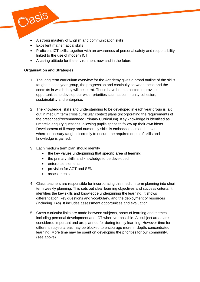- A strong mastery of English and communication skills
- Excellent mathematical skills
- Proficient ICT skills, together with an awareness of personal safety and responsibility linked to the use of modern ICT
- A caring attitude for the environment now and in the future

# **Organisation and Strategies**

Oasis

- 1. The long term curriculum overview for the Academy gives a broad outline of the skills taught in each year group, the progression and continuity between these and the contexts in which they will be learnt. These have been selected to provide opportunities to develop our wider priorities such as community cohesion, sustainability and enterprise.
- 2. The knowledge, skills and understanding to be developed in each year group is laid out in medium term cross curricular context plans (incorporating the requirements of the prescribed/recommended Primary Curriculum). Key knowledge is identified as umbrella enquiry questions, allowing pupils space to follow up their own ideas. Development of literacy and numeracy skills is embedded across the plans, but where necessary taught discretely to ensure the required depth of skills and knowledge is gained.
- 3. Each medium term plan should identify
	- the key values underpinning that specific area of learning
	- the primary skills and knowledge to be developed
	- enterprise elements
	- provision for AGT and SEN
	- assessments
- 4. Class teachers are responsible for incorporating this medium term planning into short term weekly planning. This sets out clear learning objectives and success criteria. It identifies the key skills and knowledge underpinning the learning. It shows differentiation, key questions and vocabulary, and the deployment of resources (including TAs). It includes assessment opportunities and evaluation.
- 5. Cross curricular links are made between subjects, areas of learning and themes including personal development and ICT wherever possible. All subject areas are considered important and are planned for during termly learning. However time for different subject areas may be blocked to encourage more in-depth, concentrated learning. More time may be spent on developing the priorities for our community. (see above)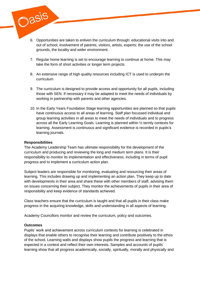- 6. Opportunities are taken to enliven the curriculum through: educational visits into and out of school; involvement of parents, visitors, artists, experts; the use of the school grounds, the locality and wider environment.
- 7. Regular home learning is set to encourage learning to continue at home. This may take the form of short activities or longer term projects.
- 8. An extensive range of high quality resources including ICT is used to underpin the curriculum
- 9. The curriculum is designed to provide access and opportunity for all pupils, including those with SEN. If necessary it may be adapted to meet the needs of individuals by working in partnership with parents and other agencies.
- 10. In the Early Years Foundation Stage learning opportunities are planned so that pupils have continuous access to all areas of learning. Staff plan focussed individual and group learning activities in all areas to meet the needs of individuals and to progress across all the Early Learning Goals. Learning is planned within ½ termly contexts for learning. Assessment is continuous and significant evidence is recorded in pupils's learning journals.

#### **Responsibilities**

Oasis

The Academy Leadership Team has ultimate responsibility for the development of the curriculum and producing and reviewing the long and medium term plans. It is their responsibility to monitor its implementation and effectiveness, including in terms of pupil progress and to implement a curriculum action plan.

Subject leaders are responsible for monitoring, evaluating and resourcing their areas of learning. This includes drawing up and implementing an action plan. They keep up to date with developments in their area and share these with other members of staff, advising them on issues concerning their subject. They monitor the achievements of pupils in their area of responsibility and keep evidence of standards achieved.

Class teachers ensure that the curriculum is taught and that all pupils in their class make progress in the acquiring knowledge, skills and understanding in all aspects of learning.

Academy Councillors monitor and review the curriculum, policy and outcomes.

#### **Outcomes**

Pupils' work and achievement across curriculum contexts for learning is celebrated in displays that enable others to recognise their learning and contribute positively to the ethos of the school. Learning walls and displays show pupils the progress and learning that is expected in a context and reflect their own interests. Samples and accounts of pupils' learning show that all progress academically, socially, spiritually, morally and physically and